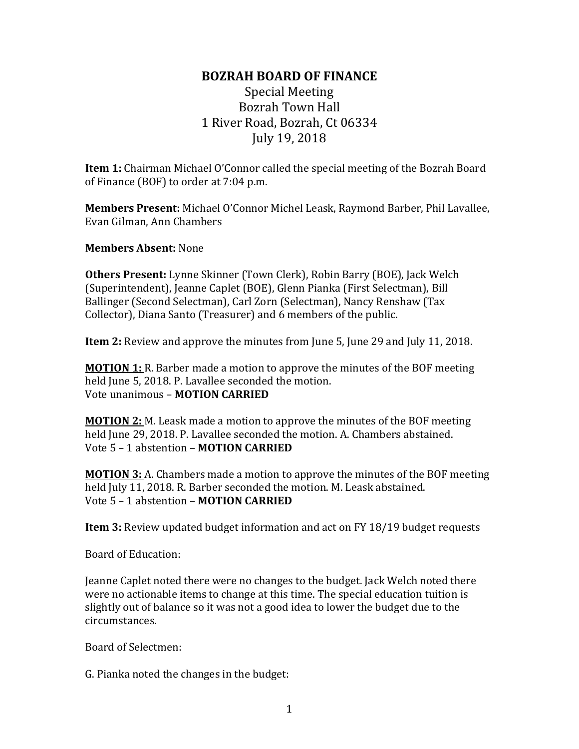## **BOZRAH BOARD OF FINANCE**

Special Meeting Bozrah Town Hall 1 River Road, Bozrah, Ct 06334 July 19, 2018

**Item 1:** Chairman Michael O'Connor called the special meeting of the Bozrah Board of Finance (BOF) to order at 7:04 p.m.

**Members Present:** Michael O'Connor Michel Leask, Raymond Barber, Phil Lavallee, Evan Gilman, Ann Chambers

**Members Absent:** None

**Others Present:** Lynne Skinner (Town Clerk), Robin Barry (BOE), Jack Welch (Superintendent), Jeanne Caplet (BOE), Glenn Pianka (First Selectman), Bill Ballinger (Second Selectman), Carl Zorn (Selectman), Nancy Renshaw (Tax Collector), Diana Santo (Treasurer) and 6 members of the public.

**Item 2:** Review and approve the minutes from June 5, June 29 and July 11, 2018.

**MOTION 1:** R. Barber made a motion to approve the minutes of the BOF meeting held June 5, 2018. P. Lavallee seconded the motion. Vote unanimous – **MOTION CARRIED**

**MOTION 2:** M. Leask made a motion to approve the minutes of the BOF meeting held June 29, 2018. P. Lavallee seconded the motion. A. Chambers abstained. Vote 5 – 1 abstention – **MOTION CARRIED**

**MOTION 3:** A. Chambers made a motion to approve the minutes of the BOF meeting held July 11, 2018. R. Barber seconded the motion. M. Leask abstained. Vote 5 – 1 abstention – **MOTION CARRIED**

**Item 3:** Review updated budget information and act on FY 18/19 budget requests

Board of Education:

Jeanne Caplet noted there were no changes to the budget. Jack Welch noted there were no actionable items to change at this time. The special education tuition is slightly out of balance so it was not a good idea to lower the budget due to the circumstances.

Board of Selectmen:

G. Pianka noted the changes in the budget: